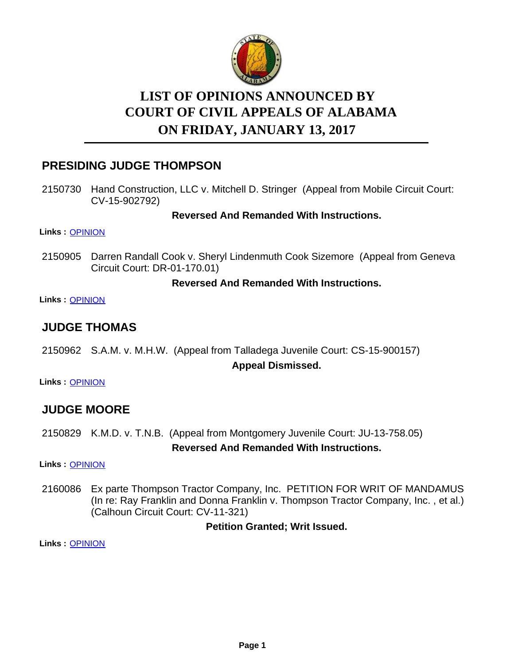

# **LIST OF OPINIONS ANNOUNCED BY ON FRIDAY, JANUARY 13, 2017 COURT OF CIVIL APPEALS OF ALABAMA**

# **PRESIDING JUDGE THOMPSON**

2150730 Hand Construction, LLC v. Mitchell D. Stringer (Appeal from Mobile Circuit Court: CV-15-902792)

**Reversed And Remanded With Instructions.**

**Links :** [OPINION](https://acis.alabama.gov/displaydocs.cfm?no=780417&event=4TO0KORR9)

2150905 Darren Randall Cook v. Sheryl Lindenmuth Cook Sizemore (Appeal from Geneva Circuit Court: DR-01-170.01)

## **Reversed And Remanded With Instructions.**

**Links :** [OPINION](https://acis.alabama.gov/displaydocs.cfm?no=780420&event=4TO0KOSYV)

# **JUDGE THOMAS**

2150962 S.A.M. v. M.H.W. (Appeal from Talladega Juvenile Court: CS-15-900157) **Appeal Dismissed.**

**Links :** [OPINION](https://acis.alabama.gov/displaydocs.cfm?no=780421&event=4TO0KOT59)

# **JUDGE MOORE**

2150829 K.M.D. v. T.N.B. (Appeal from Montgomery Juvenile Court: JU-13-758.05)

**Reversed And Remanded With Instructions.**

**Links :** [OPINION](https://acis.alabama.gov/displaydocs.cfm?no=780418&event=4TO0KORX4)

2160086 Ex parte Thompson Tractor Company, Inc. PETITION FOR WRIT OF MANDAMUS (In re: Ray Franklin and Donna Franklin v. Thompson Tractor Company, Inc. , et al.) (Calhoun Circuit Court: CV-11-321)

**Petition Granted; Writ Issued.**

**Links :** [OPINION](https://acis.alabama.gov/displaydocs.cfm?no=780422&event=4TO0KOTAT)